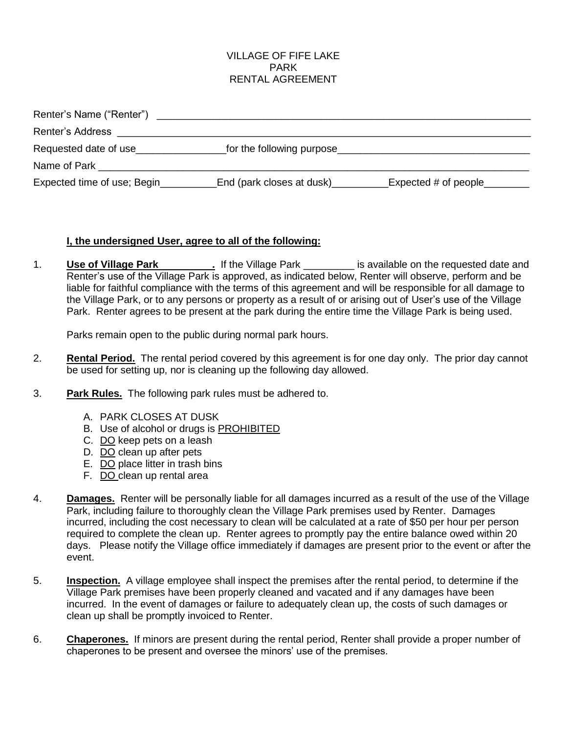### VILLAGE OF FIFE LAKE PARK RENTAL AGREEMENT

| Renter's Name ("Renter")    |                           |                      |
|-----------------------------|---------------------------|----------------------|
| Renter's Address            |                           |                      |
| Requested date of use       | for the following purpose |                      |
| Name of Park                |                           |                      |
| Expected time of use; Begin | End (park closes at dusk) | Expected # of people |

#### **I, the undersigned User, agree to all of the following:**

1. **Use of Village Park 1. If the Village Park 1. If the Village on the requested date and** Renter's use of the Village Park is approved, as indicated below, Renter will observe, perform and be liable for faithful compliance with the terms of this agreement and will be responsible for all damage to the Village Park, or to any persons or property as a result of or arising out of User's use of the Village Park. Renter agrees to be present at the park during the entire time the Village Park is being used.

Parks remain open to the public during normal park hours.

- 2. **Rental Period.** The rental period covered by this agreement is for one day only. The prior day cannot be used for setting up, nor is cleaning up the following day allowed.
- 3. **Park Rules.** The following park rules must be adhered to.
	- A. PARK CLOSES AT DUSK
	- B. Use of alcohol or drugs is PROHIBITED
	- C. DO keep pets on a leash
	- D. DO clean up after pets
	- E. DO place litter in trash bins
	- F. DO clean up rental area
- 4. **Damages.** Renter will be personally liable for all damages incurred as a result of the use of the Village Park, including failure to thoroughly clean the Village Park premises used by Renter. Damages incurred, including the cost necessary to clean will be calculated at a rate of \$50 per hour per person required to complete the clean up. Renter agrees to promptly pay the entire balance owed within 20 days. Please notify the Village office immediately if damages are present prior to the event or after the event.
- 5. **Inspection.** A village employee shall inspect the premises after the rental period, to determine if the Village Park premises have been properly cleaned and vacated and if any damages have been incurred. In the event of damages or failure to adequately clean up, the costs of such damages or clean up shall be promptly invoiced to Renter.
- 6. **Chaperones.** If minors are present during the rental period, Renter shall provide a proper number of chaperones to be present and oversee the minors' use of the premises.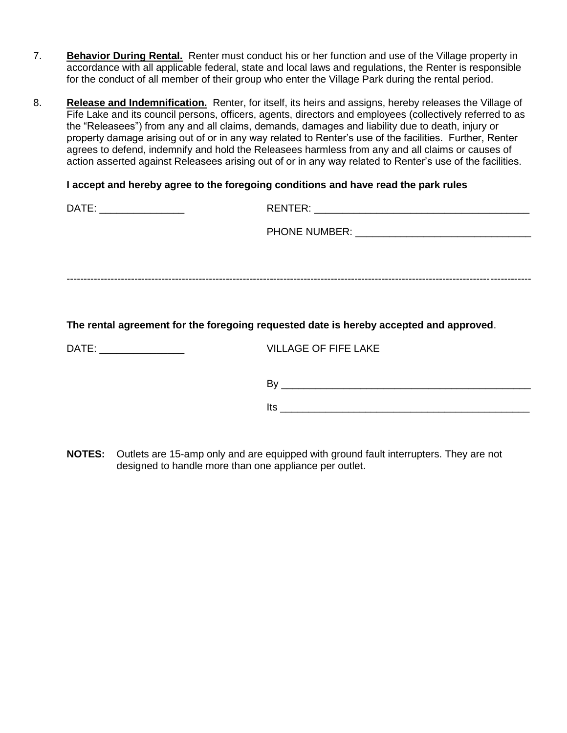- 7. **Behavior During Rental.** Renter must conduct his or her function and use of the Village property in accordance with all applicable federal, state and local laws and regulations, the Renter is responsible for the conduct of all member of their group who enter the Village Park during the rental period.
- 8. **Release and Indemnification.** Renter, for itself, its heirs and assigns, hereby releases the Village of Fife Lake and its council persons, officers, agents, directors and employees (collectively referred to as the "Releasees") from any and all claims, demands, damages and liability due to death, injury or property damage arising out of or in any way related to Renter's use of the facilities. Further, Renter agrees to defend, indemnify and hold the Releasees harmless from any and all claims or causes of action asserted against Releasees arising out of or in any way related to Renter's use of the facilities.

#### **I accept and hereby agree to the foregoing conditions and have read the park rules**

| The rental agreement for the foregoing requested date is hereby accepted and approved. |
|----------------------------------------------------------------------------------------|
| <b>VILLAGE OF FIFE LAKE</b>                                                            |
|                                                                                        |
|                                                                                        |

**NOTES:** Outlets are 15-amp only and are equipped with ground fault interrupters. They are not designed to handle more than one appliance per outlet.